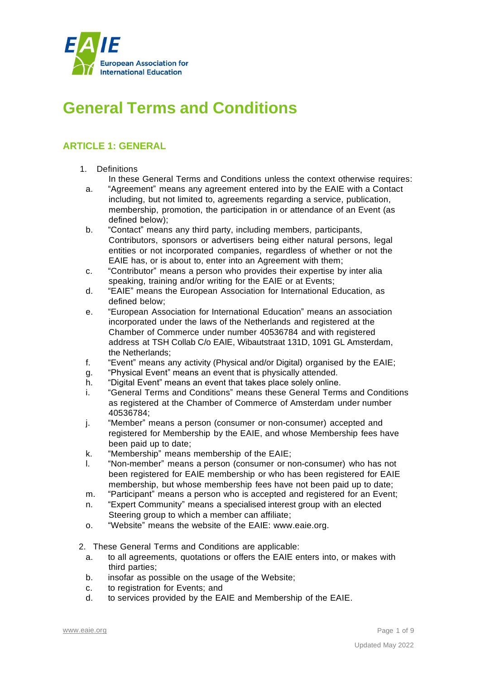

# **General Terms and Conditions**

# **ARTICLE 1: GENERAL**

- 1. Definitions
	- In these General Terms and Conditions unless the context otherwise requires:
	- a. "Agreement" means any agreement entered into by the EAIE with a Contact including, but not limited to, agreements regarding a service, publication, membership, promotion, the participation in or attendance of an Event (as defined below);
	- b. "Contact" means any third party, including members, participants, Contributors, sponsors or advertisers being either natural persons, legal entities or not incorporated companies, regardless of whether or not the EAIE has, or is about to, enter into an Agreement with them;
	- c. "Contributor" means a person who provides their expertise by inter alia speaking, training and/or writing for the EAIE or at Events;
	- d. "EAIE" means the European Association for International Education, as defined below;
	- e. "European Association for International Education" means an association incorporated under the laws of the Netherlands and registered at the Chamber of Commerce under number 40536784 and with registered address at TSH Collab C/o EAIE, Wibautstraat 131D, 1091 GL Amsterdam, the Netherlands;
	- f. "Event" means any activity (Physical and/or Digital) organised by the EAIE;
	- g. "Physical Event" means an event that is physically attended.
	- h. "Digital Event" means an event that takes place solely online.
	- i. "General Terms and Conditions" means these General Terms and Conditions as registered at the Chamber of Commerce of Amsterdam under number 40536784;
	- j. "Member" means a person (consumer or non-consumer) accepted and registered for Membership by the EAIE, and whose Membership fees have been paid up to date;
	- k. "Membership" means membership of the EAIE;
	- l. "Non-member" means a person (consumer or non-consumer) who has not been registered for EAIE membership or who has been registered for EAIE membership, but whose membership fees have not been paid up to date;
- m. "Participant" means a person who is accepted and registered for an Event;
- n. "Expert Community" means a specialised interest group with an elected Steering group to which a member can affiliate;
- o. "Website" means the website of the EAIE: [www.eaie.org.](http://www.eaie.org/)

2. These General Terms and Conditions are applicable:

- a. to all agreements, quotations or offers the EAIE enters into, or makes with third parties;
- b. insofar as possible on the usage of the Website;
- c. to registration for Events; and
- d. to services provided by the EAIE and Membership of the EAIE.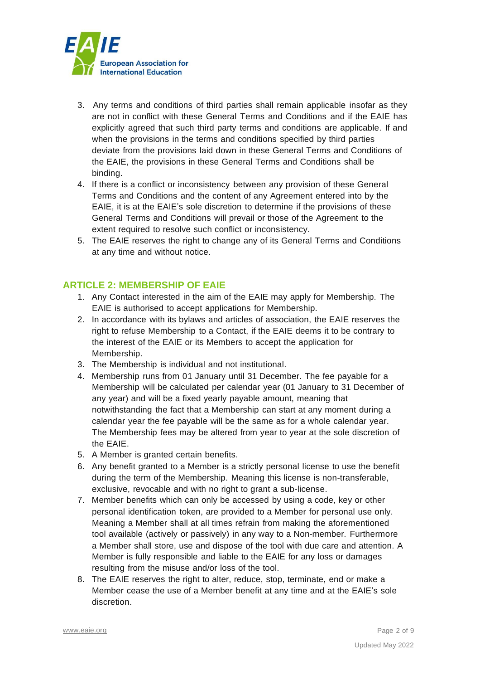

- 3. Any terms and conditions of third parties shall remain applicable insofar as they are not in conflict with these General Terms and Conditions and if the EAIE has explicitly agreed that such third party terms and conditions are applicable. If and when the provisions in the terms and conditions specified by third parties deviate from the provisions laid down in these General Terms and Conditions of the EAIE, the provisions in these General Terms and Conditions shall be binding.
- 4. If there is a conflict or inconsistency between any provision of these General Terms and Conditions and the content of any Agreement entered into by the EAIE, it is at the EAIE's sole discretion to determine if the provisions of these General Terms and Conditions will prevail or those of the Agreement to the extent required to resolve such conflict or inconsistency.
- 5. The EAIE reserves the right to change any of its General Terms and Conditions at any time and without notice.

## **ARTICLE 2: MEMBERSHIP OF EAIE**

- 1. Any Contact interested in the aim of the EAIE may apply for Membership. The EAIE is authorised to accept applications for Membership.
- 2. In accordance with its bylaws and articles of association, the EAIE reserves the right to refuse Membership to a Contact, if the EAIE deems it to be contrary to the interest of the EAIE or its Members to accept the application for Membership.
- 3. The Membership is individual and not institutional.
- 4. Membership runs from 01 January until 31 December. The fee payable for a Membership will be calculated per calendar year (01 January to 31 December of any year) and will be a fixed yearly payable amount, meaning that notwithstanding the fact that a Membership can start at any moment during a calendar year the fee payable will be the same as for a whole calendar year. The Membership fees may be altered from year to year at the sole discretion of the EAIE.
- 5. A Member is granted certain benefits.
- 6. Any benefit granted to a Member is a strictly personal license to use the benefit during the term of the Membership. Meaning this license is non-transferable, exclusive, revocable and with no right to grant a sub-license.
- 7. Member benefits which can only be accessed by using a code, key or other personal identification token, are provided to a Member for personal use only. Meaning a Member shall at all times refrain from making the aforementioned tool available (actively or passively) in any way to a Non-member. Furthermore a Member shall store, use and dispose of the tool with due care and attention. A Member is fully responsible and liable to the EAIE for any loss or damages resulting from the misuse and/or loss of the tool.
- 8. The EAIE reserves the right to alter, reduce, stop, terminate, end or make a Member cease the use of a Member benefit at any time and at the EAIE's sole discretion.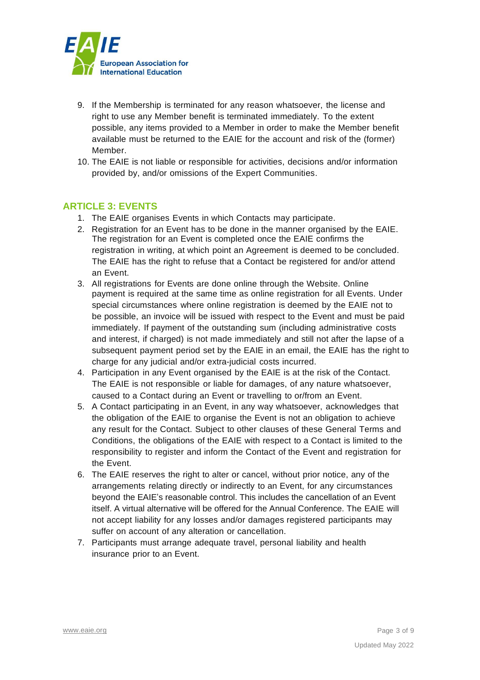

- 9. If the Membership is terminated for any reason whatsoever, the license and right to use any Member benefit is terminated immediately. To the extent possible, any items provided to a Member in order to make the Member benefit available must be returned to the EAIE for the account and risk of the (former) Member.
- 10. The EAIE is not liable or responsible for activities, decisions and/or information provided by, and/or omissions of the Expert Communities.

## **ARTICLE 3: EVENTS**

- 1. The EAIE organises Events in which Contacts may participate.
- 2. Registration for an Event has to be done in the manner organised by the EAIE. The registration for an Event is completed once the EAIE confirms the registration in writing, at which point an Agreement is deemed to be concluded. The EAIE has the right to refuse that a Contact be registered for and/or attend an Event.
- 3. All registrations for Events are done online through the Website. Online payment is required at the same time as online registration for all Events. Under special circumstances where online registration is deemed by the EAIE not to be possible, an invoice will be issued with respect to the Event and must be paid immediately. If payment of the outstanding sum (including administrative costs and interest, if charged) is not made immediately and still not after the lapse of a subsequent payment period set by the EAIE in an email, the EAIE has the right to charge for any judicial and/or extra-judicial costs incurred.
- 4. Participation in any Event organised by the EAIE is at the risk of the Contact. The EAIE is not responsible or liable for damages, of any nature whatsoever, caused to a Contact during an Event or travelling to or/from an Event.
- 5. A Contact participating in an Event, in any way whatsoever, acknowledges that the obligation of the EAIE to organise the Event is not an obligation to achieve any result for the Contact. Subject to other clauses of these General Terms and Conditions, the obligations of the EAIE with respect to a Contact is limited to the responsibility to register and inform the Contact of the Event and registration for the Event.
- 6. The EAIE reserves the right to alter or cancel, without prior notice, any of the arrangements relating directly or indirectly to an Event, for any circumstances beyond the EAIE's reasonable control. This includes the cancellation of an Event itself. A virtual alternative will be offered for the Annual Conference. The EAIE will not accept liability for any losses and/or damages registered participants may suffer on account of any alteration or cancellation.
- 7. Participants must arrange adequate travel, personal liability and health insurance prior to an Event.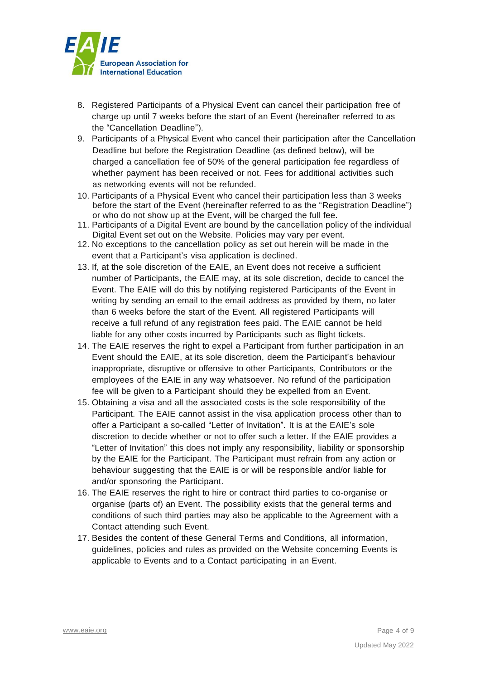

- 8. Registered Participants of a Physical Event can cancel their participation free of charge up until 7 weeks before the start of an Event (hereinafter referred to as the "Cancellation Deadline").
- 9. Participants of a Physical Event who cancel their participation after the Cancellation Deadline but before the Registration Deadline (as defined below), will be charged a cancellation fee of 50% of the general participation fee regardless of whether payment has been received or not. Fees for additional activities such as networking events will not be refunded.
- 10. Participants of a Physical Event who cancel their participation less than 3 weeks before the start of the Event (hereinafter referred to as the "Registration Deadline") or who do not show up at the Event, will be charged the full fee.
- 11. Participants of a Digital Event are bound by the cancellation policy of the individual Digital Event set out on the Website. Policies may vary per event.
- 12. No exceptions to the cancellation policy as set out herein will be made in the event that a Participant's visa application is declined.
- 13. If, at the sole discretion of the EAIE, an Event does not receive a sufficient number of Participants, the EAIE may, at its sole discretion, decide to cancel the Event. The EAIE will do this by notifying registered Participants of the Event in writing by sending an email to the email address as provided by them, no later than 6 weeks before the start of the Event. All registered Participants will receive a full refund of any registration fees paid. The EAIE cannot be held liable for any other costs incurred by Participants such as flight tickets.
- 14. The EAIE reserves the right to expel a Participant from further participation in an Event should the EAIE, at its sole discretion, deem the Participant's behaviour inappropriate, disruptive or offensive to other Participants, Contributors or the employees of the EAIE in any way whatsoever. No refund of the participation fee will be given to a Participant should they be expelled from an Event.
- 15. Obtaining a visa and all the associated costs is the sole responsibility of the Participant. The EAIE cannot assist in the visa application process other than to offer a Participant a so-called "Letter of Invitation". It is at the EAIE's sole discretion to decide whether or not to offer such a letter. If the EAIE provides a "Letter of Invitation" this does not imply any responsibility, liability or sponsorship by the EAIE for the Participant. The Participant must refrain from any action or behaviour suggesting that the EAIE is or will be responsible and/or liable for and/or sponsoring the Participant.
- 16. The EAIE reserves the right to hire or contract third parties to co-organise or organise (parts of) an Event. The possibility exists that the general terms and conditions of such third parties may also be applicable to the Agreement with a Contact attending such Event.
- 17. Besides the content of these General Terms and Conditions, all information, guidelines, policies and rules as provided on the Website concerning Events is applicable to Events and to a Contact participating in an Event.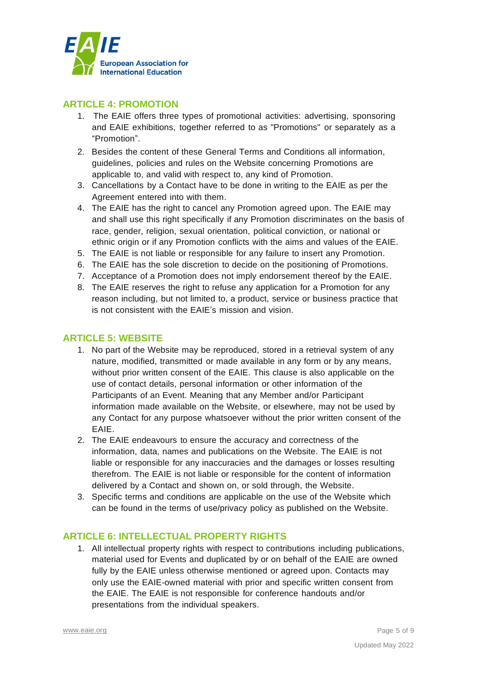

## **ARTICLE 4: PROMOTION**

- 1. The EAIE offers three types of promotional activities: advertising, sponsoring and EAIE exhibitions, together referred to as "Promotions" or separately as a "Promotion".
- 2. Besides the content of these General Terms and Conditions all information, guidelines, policies and rules on the Website concerning Promotions are applicable to, and valid with respect to, any kind of Promotion.
- 3. Cancellations by a Contact have to be done in writing to the EAIE as per the Agreement entered into with them.
- 4. The EAIE has the right to cancel any Promotion agreed upon. The EAIE may and shall use this right specifically if any Promotion discriminates on the basis of race, gender, religion, sexual orientation, political conviction, or national or ethnic origin or if any Promotion conflicts with the aims and values of the EAIE.
- 5. The EAIE is not liable or responsible for any failure to insert any Promotion.
- 6. The EAIE has the sole discretion to decide on the positioning of Promotions.
- 7. Acceptance of a Promotion does not imply endorsement thereof by the EAIE.
- 8. The EAIE reserves the right to refuse any application for a Promotion for any reason including, but not limited to, a product, service or business practice that is not consistent with the EAIE's mission and vision.

#### **ARTICLE 5: WEBSITE**

- 1. No part of the Website may be reproduced, stored in a retrieval system of any nature, modified, transmitted or made available in any form or by any means, without prior written consent of the EAIE. This clause is also applicable on the use of contact details, personal information or other information of the Participants of an Event. Meaning that any Member and/or Participant information made available on the Website, or elsewhere, may not be used by any Contact for any purpose whatsoever without the prior written consent of the EAIE.
- 2. The EAIE endeavours to ensure the accuracy and correctness of the information, data, names and publications on the Website. The EAIE is not liable or responsible for any inaccuracies and the damages or losses resulting therefrom. The EAIE is not liable or responsible for the content of information delivered by a Contact and shown on, or sold through, the Website.
- 3. Specific terms and conditions are applicable on the use of the Website which can be found in the terms of use/privacy policy as published on the Website.

## **ARTICLE 6: INTELLECTUAL PROPERTY RIGHTS**

1. All intellectual property rights with respect to contributions including publications, material used for Events and duplicated by or on behalf of the EAIE are owned fully by the EAIE unless otherwise mentioned or agreed upon. Contacts may only use the EAIE-owned material with prior and specific written consent from the EAIE. The EAIE is not responsible for conference handouts and/or presentations from the individual speakers.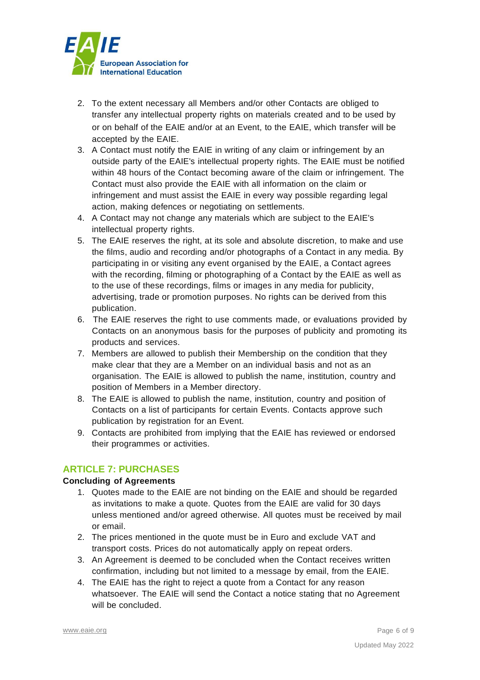

- 2. To the extent necessary all Members and/or other Contacts are obliged to transfer any intellectual property rights on materials created and to be used by or on behalf of the EAIE and/or at an Event, to the EAIE, which transfer will be accepted by the EAIE.
- 3. A Contact must notify the EAIE in writing of any claim or infringement by an outside party of the EAIE's intellectual property rights. The EAIE must be notified within 48 hours of the Contact becoming aware of the claim or infringement. The Contact must also provide the EAIE with all information on the claim or infringement and must assist the EAIE in every way possible regarding legal action, making defences or negotiating on settlements.
- 4. A Contact may not change any materials which are subject to the EAIE's intellectual property rights.
- 5. The EAIE reserves the right, at its sole and absolute discretion, to make and use the films, audio and recording and/or photographs of a Contact in any media. By participating in or visiting any event organised by the EAIE, a Contact agrees with the recording, filming or photographing of a Contact by the EAIE as well as to the use of these recordings, films or images in any media for publicity, advertising, trade or promotion purposes. No rights can be derived from this publication.
- 6. The EAIE reserves the right to use comments made, or evaluations provided by Contacts on an anonymous basis for the purposes of publicity and promoting its products and services.
- 7. Members are allowed to publish their Membership on the condition that they make clear that they are a Member on an individual basis and not as an organisation. The EAIE is allowed to publish the name, institution, country and position of Members in a Member directory.
- 8. The EAIE is allowed to publish the name, institution, country and position of Contacts on a list of participants for certain Events. Contacts approve such publication by registration for an Event.
- 9. Contacts are prohibited from implying that the EAIE has reviewed or endorsed their programmes or activities.

## **ARTICLE 7: PURCHASES**

#### **Concluding of Agreements**

- 1. Quotes made to the EAIE are not binding on the EAIE and should be regarded as invitations to make a quote. Quotes from the EAIE are valid for 30 days unless mentioned and/or agreed otherwise. All quotes must be received by mail or email.
- 2. The prices mentioned in the quote must be in Euro and exclude VAT and transport costs. Prices do not automatically apply on repeat orders.
- 3. An Agreement is deemed to be concluded when the Contact receives written confirmation, including but not limited to a message by email, from the EAIE.
- 4. The EAIE has the right to reject a quote from a Contact for any reason whatsoever. The EAIE will send the Contact a notice stating that no Agreement will be concluded.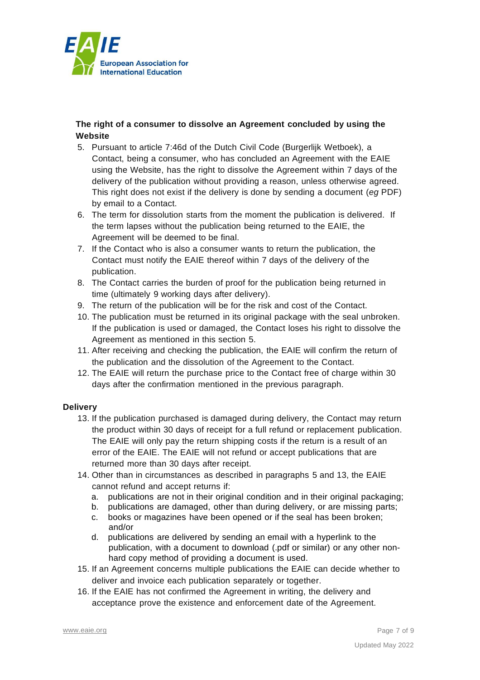

#### **The right of a consumer to dissolve an Agreement concluded by using the Website**

- 5. Pursuant to article 7:46d of the Dutch Civil Code (Burgerlijk Wetboek), a Contact, being a consumer, who has concluded an Agreement with the EAIE using the Website, has the right to dissolve the Agreement within 7 days of the delivery of the publication without providing a reason, unless otherwise agreed. This right does not exist if the delivery is done by sending a document (*eg* PDF) by email to a Contact.
- 6. The term for dissolution starts from the moment the publication is delivered. If the term lapses without the publication being returned to the EAIE, the Agreement will be deemed to be final.
- 7. If the Contact who is also a consumer wants to return the publication, the Contact must notify the EAIE thereof within 7 days of the delivery of the publication.
- 8. The Contact carries the burden of proof for the publication being returned in time (ultimately 9 working days after delivery).
- 9. The return of the publication will be for the risk and cost of the Contact.
- 10. The publication must be returned in its original package with the seal unbroken. If the publication is used or damaged, the Contact loses his right to dissolve the Agreement as mentioned in this section 5.
- 11. After receiving and checking the publication, the EAIE will confirm the return of the publication and the dissolution of the Agreement to the Contact.
- 12. The EAIE will return the purchase price to the Contact free of charge within 30 days after the confirmation mentioned in the previous paragraph.

#### **Delivery**

- 13. If the publication purchased is damaged during delivery, the Contact may return the product within 30 days of receipt for a full refund or replacement publication. The EAIE will only pay the return shipping costs if the return is a result of an error of the EAIE. The EAIE will not refund or accept publications that are returned more than 30 days after receipt.
- 14. Other than in circumstances as described in paragraphs 5 and 13, the EAIE cannot refund and accept returns if:
	- a. publications are not in their original condition and in their original packaging;
	- b. publications are damaged, other than during delivery, or are missing parts;
	- c. books or magazines have been opened or if the seal has been broken; and/or
	- d. publications are delivered by sending an email with a hyperlink to the publication, with a document to download (.pdf or similar) or any other nonhard copy method of providing a document is used.
- 15. If an Agreement concerns multiple publications the EAIE can decide whether to deliver and invoice each publication separately or together.
- 16. If the EAIE has not confirmed the Agreement in writing, the delivery and acceptance prove the existence and enforcement date of the Agreement.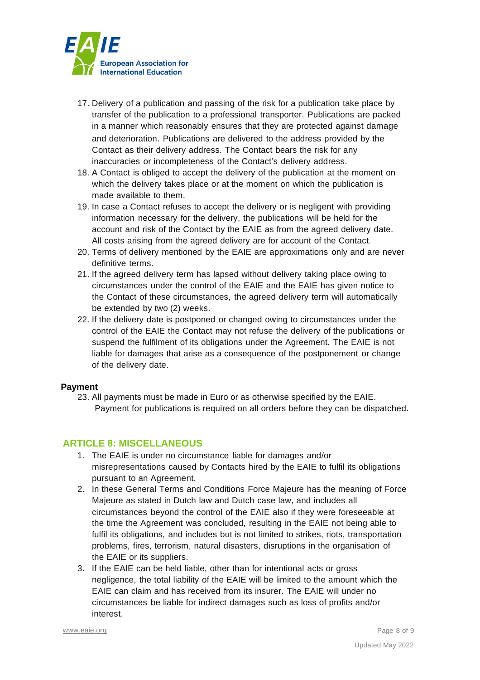

- 17. Delivery of a publication and passing of the risk for a publication take place by transfer of the publication to a professional transporter. Publications are packed in a manner which reasonably ensures that they are protected against damage and deterioration. Publications are delivered to the address provided by the Contact as their delivery address. The Contact bears the risk for any inaccuracies or incompleteness of the Contact's delivery address.
- 18. A Contact is obliged to accept the delivery of the publication at the moment on which the delivery takes place or at the moment on which the publication is made available to them.
- 19. In case a Contact refuses to accept the delivery or is negligent with providing information necessary for the delivery, the publications will be held for the account and risk of the Contact by the EAIE as from the agreed delivery date. All costs arising from the agreed delivery are for account of the Contact.
- 20. Terms of delivery mentioned by the EAIE are approximations only and are never definitive terms.
- 21. If the agreed delivery term has lapsed without delivery taking place owing to circumstances under the control of the EAIE and the EAIE has given notice to the Contact of these circumstances, the agreed delivery term will automatically be extended by two (2) weeks.
- 22. If the delivery date is postponed or changed owing to circumstances under the control of the EAIE the Contact may not refuse the delivery of the publications or suspend the fulfilment of its obligations under the Agreement. The EAIE is not liable for damages that arise as a consequence of the postponement or change of the delivery date.

#### **Payment**

23. All payments must be made in Euro or as otherwise specified by the EAIE. Payment for publications is required on all orders before they can be dispatched.

#### **ARTICLE 8: MISCELLANEOUS**

- 1. The EAIE is under no circumstance liable for damages and/or misrepresentations caused by Contacts hired by the EAIE to fulfil its obligations pursuant to an Agreement.
- 2. In these General Terms and Conditions Force Majeure has the meaning of Force Majeure as stated in Dutch law and Dutch case law, and includes all circumstances beyond the control of the EAIE also if they were foreseeable at the time the Agreement was concluded, resulting in the EAIE not being able to fulfil its obligations, and includes but is not limited to strikes, riots, transportation problems, fires, terrorism, natural disasters, disruptions in the organisation of the EAIE or its suppliers.
- 3. If the EAIE can be held liable, other than for intentional acts or gross negligence, the total liability of the EAIE will be limited to the amount which the EAIE can claim and has received from its insurer. The EAIE will under no circumstances be liable for indirect damages such as loss of profits and/or interest.